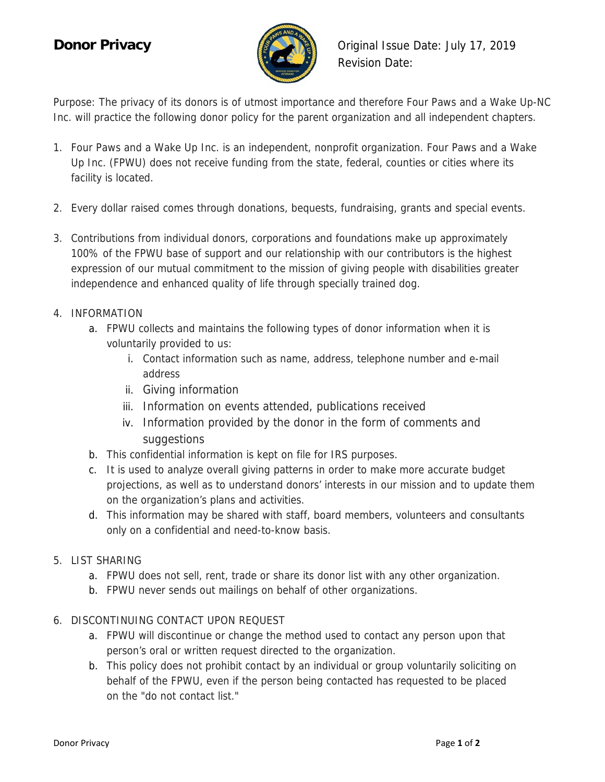

**Donor Privacy Conor Privacy Conor Privacy Conor Privacy Conor 19 and Private** *Conor Privacy* **Conor Conor Conor Conor Conor Conor Conor Conor Conor Conor Conor Conor Conor Conor Cono** Revision Date:

Purpose: The privacy of its donors is of utmost importance and therefore Four Paws and a Wake Up-NC Inc. will practice the following donor policy for the parent organization and all independent chapters.

- 1. Four Paws and a Wake Up Inc. is an independent, nonprofit organization. Four Paws and a Wake Up Inc. (FPWU) does not receive funding from the state, federal, counties or cities where its facility is located.
- 2. Every dollar raised comes through donations, bequests, fundraising, grants and special events.
- 3. Contributions from individual donors, corporations and foundations make up approximately 100% of the FPWU base of support and our relationship with our contributors is the highest expression of our mutual commitment to the mission of giving people with disabilities greater independence and enhanced quality of life through specially trained dog.
- 4. INFORMATION
	- a. FPWU collects and maintains the following types of donor information when it is voluntarily provided to us:
		- i. Contact information such as name, address, telephone number and e-mail address
		- ii. Giving information
		- iii. Information on events attended, publications received
		- iv. Information provided by the donor in the form of comments and suggestions
	- b. This confidential information is kept on file for IRS purposes.
	- c. It is used to analyze overall giving patterns in order to make more accurate budget projections, as well as to understand donors' interests in our mission and to update them on the organization's plans and activities.
	- d. This information may be shared with staff, board members, volunteers and consultants only on a confidential and need-to-know basis.
- 5. LIST SHARING
	- a. FPWU does not sell, rent, trade or share its donor list with any other organization.
	- b. FPWU never sends out mailings on behalf of other organizations.
- 6. DISCONTINUING CONTACT UPON REQUEST
	- a. FPWU will discontinue or change the method used to contact any person upon that person's oral or written request directed to the organization.
	- b. This policy does not prohibit contact by an individual or group voluntarily soliciting on behalf of the FPWU, even if the person being contacted has requested to be placed on the "do not contact list."